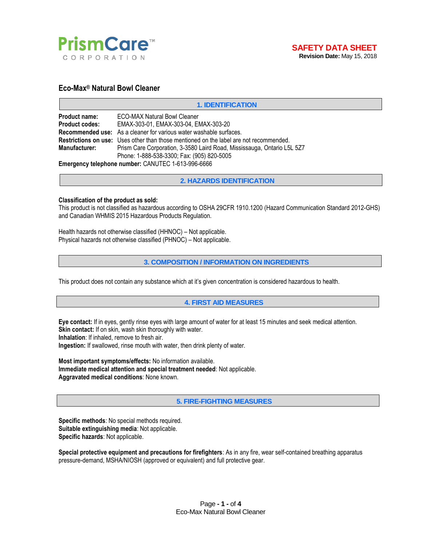

# **Eco-Max® Natural Bowl Cleaner**

#### **1. IDENTIFICATION**

| <b>Product name:</b>  | <b>ECO-MAX Natural Bowl Cleaner</b>                                                           |
|-----------------------|-----------------------------------------------------------------------------------------------|
| <b>Product codes:</b> | EMAX-303-01, EMAX-303-04, EMAX-303-20                                                         |
|                       | Recommended use: As a cleaner for various water washable surfaces.                            |
|                       | <b>Restrictions on use:</b> Uses other than those mentioned on the label are not recommended. |
| <b>Manufacturer:</b>  | Prism Care Corporation, 3-3580 Laird Road, Mississauga, Ontario L5L 5Z7                       |
|                       | Phone: 1-888-538-3300; Fax: (905) 820-5005                                                    |
|                       |                                                                                               |

**Emergency telephone number:** CANUTEC 1-613-996-6666

**2. HAZARDS IDENTIFICATION**

#### **Classification of the product as sold:**

This product is not classified as hazardous according to OSHA 29CFR 1910.1200 (Hazard Communication Standard 2012-GHS) and Canadian WHMIS 2015 Hazardous Products Regulation.

Health hazards not otherwise classified (HHNOC) – Not applicable. Physical hazards not otherwise classified (PHNOC) – Not applicable.

#### **3. COMPOSITION / INFORMATION ON INGREDIENTS**

This product does not contain any substance which at it's given concentration is considered hazardous to health.

### **4. FIRST AID MEASURES**

**Eye contact:** If in eyes, gently rinse eyes with large amount of water for at least 15 minutes and seek medical attention. **Skin contact:** If on skin, wash skin thoroughly with water. **Inhalation**: If inhaled, remove to fresh air.

**Ingestion:** If swallowed, rinse mouth with water, then drink plenty of water.

**Most important symptoms/effects:** No information available. **Immediate medical attention and special treatment needed**: Not applicable. **Aggravated medical conditions**: None known.

**5. FIRE-FIGHTING MEASURES**

**Specific methods**: No special methods required. **Suitable extinguishing media**: Not applicable. **Specific hazards**: Not applicable.

**Special protective equipment and precautions for firefighters**: As in any fire, wear self-contained breathing apparatus pressure-demand, MSHA/NIOSH (approved or equivalent) and full protective gear.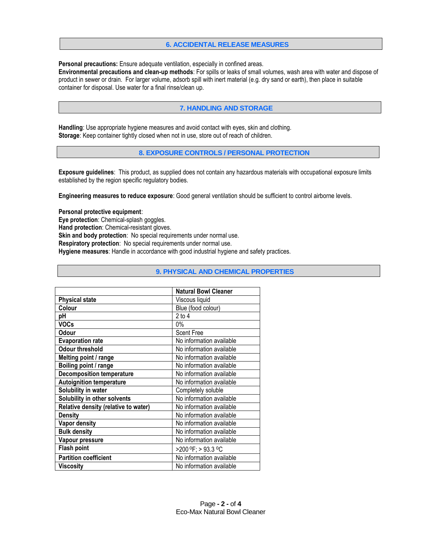# **6. ACCIDENTAL RELEASE MEASURES**

**Personal precautions:** Ensure adequate ventilation, especially in confined areas.

**Environmental precautions and clean-up methods**: For spills or leaks of small volumes, wash area with water and dispose of product in sewer or drain. For larger volume, adsorb spill with inert material (e.g. dry sand or earth), then place in suitable container for disposal. Use water for a final rinse/clean up.

# **7. HANDLING AND STORAGE**

**Handling**: Use appropriate hygiene measures and avoid contact with eyes, skin and clothing. **Storage**: Keep container tightly closed when not in use, store out of reach of children.

**8. EXPOSURE CONTROLS / PERSONAL PROTECTION**

**Exposure guidelines**: This product, as supplied does not contain any hazardous materials with occupational exposure limits established by the region specific regulatory bodies.

**Engineering measures to reduce exposure**: Good general ventilation should be sufficient to control airborne levels.

#### **Personal protective equipment**:

**Eye protection**: Chemical-splash goggles.

**Hand protection**: Chemical-resistant gloves.

**Skin and body protection:** No special requirements under normal use.

**Respiratory protection**: No special requirements under normal use.

**Hygiene measures**: Handle in accordance with good industrial hygiene and safety practices.

|                                      | <b>Natural Bowl Cleaner</b> |
|--------------------------------------|-----------------------------|
| <b>Physical state</b>                | Viscous liquid              |
| Colour                               | Blue (food colour)          |
| pH                                   | $2$ to $4$                  |
| <b>VOCs</b>                          | $0\%$                       |
| Odour                                | <b>Scent Free</b>           |
| <b>Evaporation rate</b>              | No information available    |
| Odour threshold                      | No information available    |
| Melting point / range                | No information available    |
| Boiling point / range                | No information available    |
| <b>Decomposition temperature</b>     | No information available    |
| <b>Autoignition temperature</b>      | No information available    |
| Solubility in water                  | Completely soluble          |
| Solubility in other solvents         | No information available    |
| Relative density (relative to water) | No information available    |
| <b>Density</b>                       | No information available    |
| <b>Vapor density</b>                 | No information available    |
| <b>Bulk density</b>                  | No information available    |
| Vapour pressure                      | No information available    |
| <b>Flash point</b>                   | >200 °F; > 93.3 °C          |
| <b>Partition coefficient</b>         | No information available    |
| <b>Viscosity</b>                     | No information available    |

#### **9. PHYSICAL AND CHEMICAL PROPERTIES**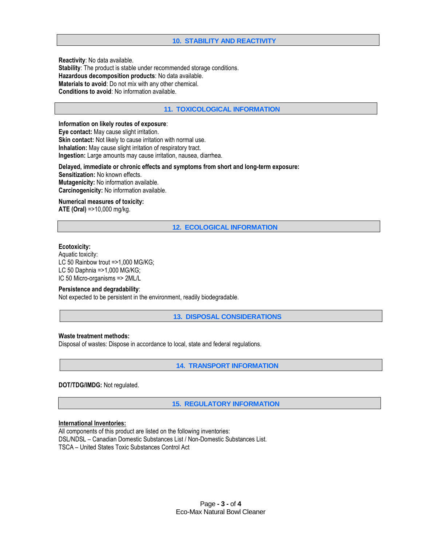# **10. STABILITY AND REACTIVITY**

**Reactivity**: No data available. **Stability**: The product is stable under recommended storage conditions. **Hazardous decomposition products**: No data available. **Materials to avoid**: Do not mix with any other chemical. **Conditions to avoid**: No information available.

## **11. TOXICOLOGICAL INFORMATION**

# **Information on likely routes of exposure**:

**Eye contact:** May cause slight irritation. **Skin contact:** Not likely to cause irritation with normal use. **Inhalation:** May cause slight irritation of respiratory tract. **Ingestion:** Large amounts may cause irritation, nausea, diarrhea.

**Delayed, immediate or chronic effects and symptoms from short and long-term exposure: Sensitization:** No known effects. **Mutagenicity:** No information available. **Carcinogenicity:** No information available.

#### **Numerical measures of toxicity:**

**ATE (Oral)** =>10,000 mg/kg.

**12. ECOLOGICAL INFORMATION**

#### **Ecotoxicity:**

Aquatic toxicity: LC 50 Rainbow trout =>1,000 MG/KG; LC 50 Daphnia =>1,000 MG/KG; IC 50 Micro-organisms => 2ML/L

### **Persistence and degradability**:

Not expected to be persistent in the environment, readily biodegradable.

**13. DISPOSAL CONSIDERATIONS**

### **Waste treatment methods:**

Disposal of wastes: Dispose in accordance to local, state and federal regulations.

**14. TRANSPORT INFORMATION**

### **DOT/TDG/IMDG:** Not regulated.

**15. REGULATORY INFORMATION**

#### **International Inventories:**

All components of this product are listed on the following inventories: DSL/NDSL – Canadian Domestic Substances List / Non-Domestic Substances List. TSCA – United States Toxic Substances Control Act